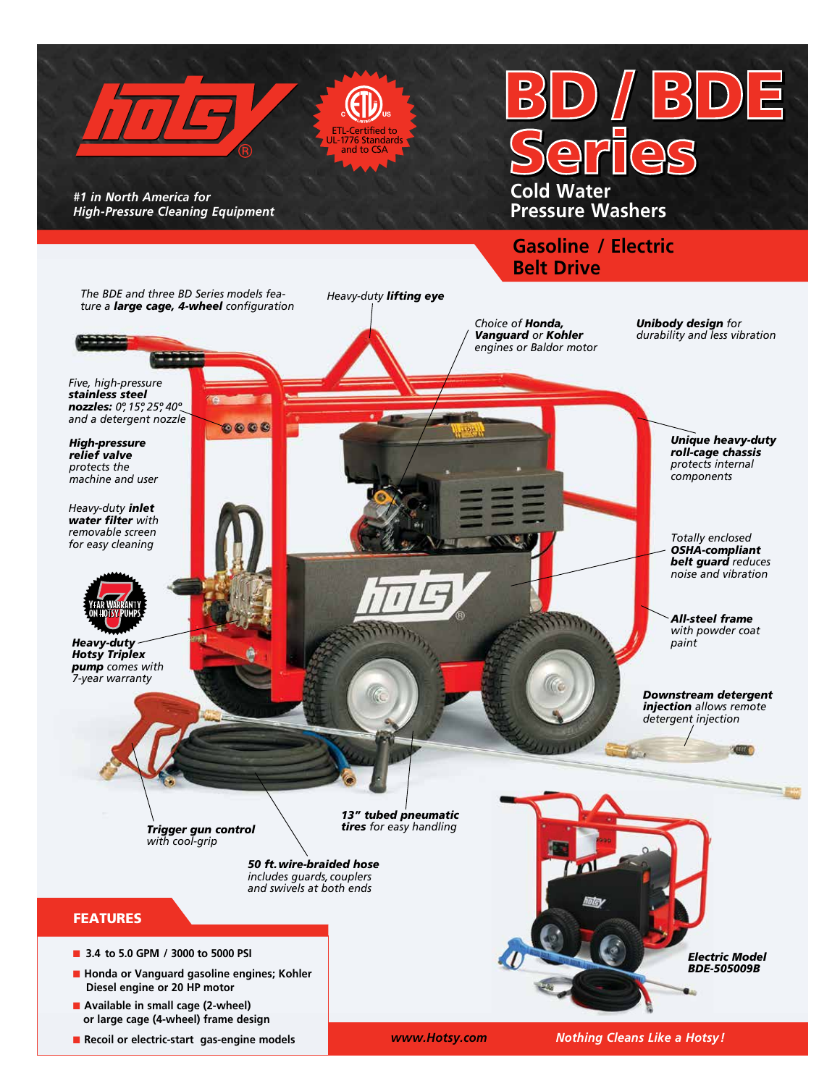